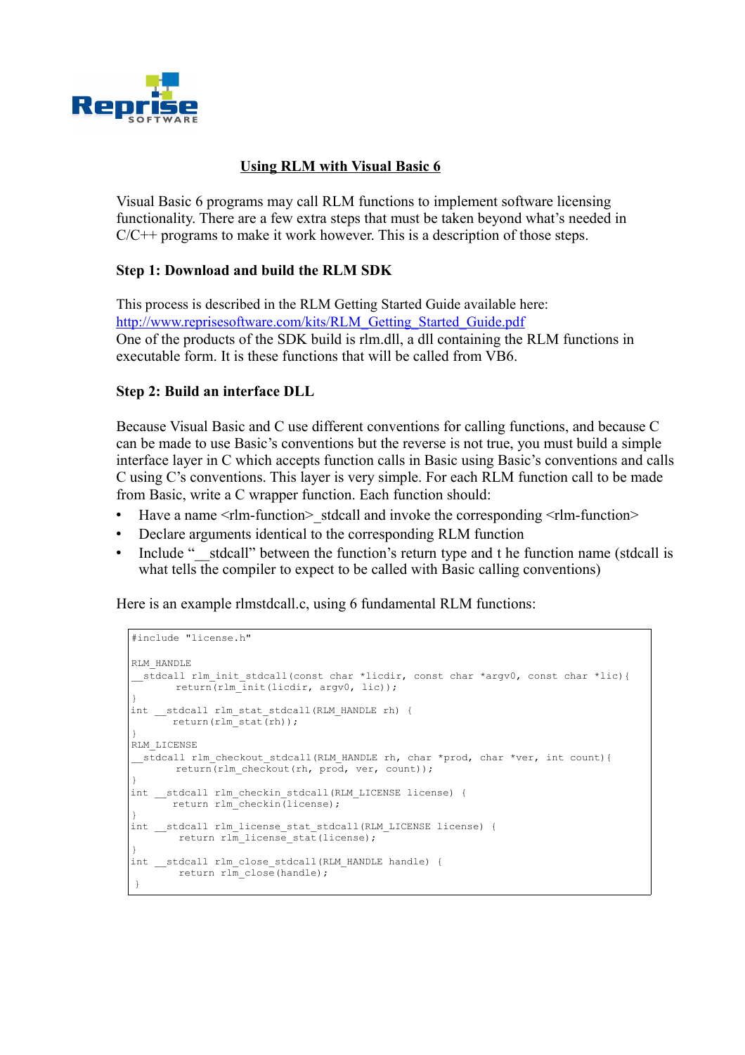

# **Using RLM with Visual Basic 6**

Visual Basic 6 programs may call RLM functions to implement software licensing functionality. There are a few extra steps that must be taken beyond what's needed in  $C/C++$  programs to make it work however. This is a description of those steps.

## **Step 1: Download and build the RLM SDK**

This process is described in the RLM Getting Started Guide available here: http://www.reprisesoftware.com/kits/RLM\_Getting\_Started\_Guide.pdf One of the products of the SDK build is rlm.dll, a dll containing the RLM functions in executable form. It is these functions that will be called from VB6.

### **Step 2: Build an interface DLL**

Because Visual Basic and C use different conventions for calling functions, and because C can be made to use Basic's conventions but the reverse is not true, you must build a simple interface layer in C which accepts function calls in Basic using Basic's conventions and calls C using C's conventions. This layer is very simple. For each RLM function call to be made from Basic, write a C wrapper function. Each function should:

- Have a name  $\leq$  Hm-function  $>$  stdcall and invoke the corresponding  $\leq$  Hm-function  $>$
- Declare arguments identical to the corresponding RLM function
- Include "\_\_stdcall" between the function's return type and t he function name (stdcall is what tells the compiler to expect to be called with Basic calling conventions)

Here is an example rlmstdcall.c, using 6 fundamental RLM functions:

```
#include "license.h"
       RLM_HANDLE
        __stdcall rlm_init_stdcall(const char *licdir, const char *argv0, const char *lic){
              return(rlm_init(licdir, argv0, lic));
        }
       int __stdcall rlm_stat_stdcall(RLM_HANDLE rh) { 
              return(rlm_stat(rh));
        }
       RLM_LICENSE
        __stdcall rlm_checkout_stdcall(RLM_HANDLE rh, char *prod, char *ver, int count){
               return(rlm checkout(rh, prod, ver, count));
        }
       int __stdcall rlm_checkin_stdcall(RLM_LICENSE license) {
              return rlm checkin(license);
        }
       int __stdcall rlm_license_stat_stdcall(RLM_LICENSE_license) {
               return rlm license stat(license);
        }
       int __stdcall rlm_close_stdcall(RLM_HANDLE handle) {
               return r\overline{\ln} close(handle);
\left| \begin{array}{c} \end{array} \right|
```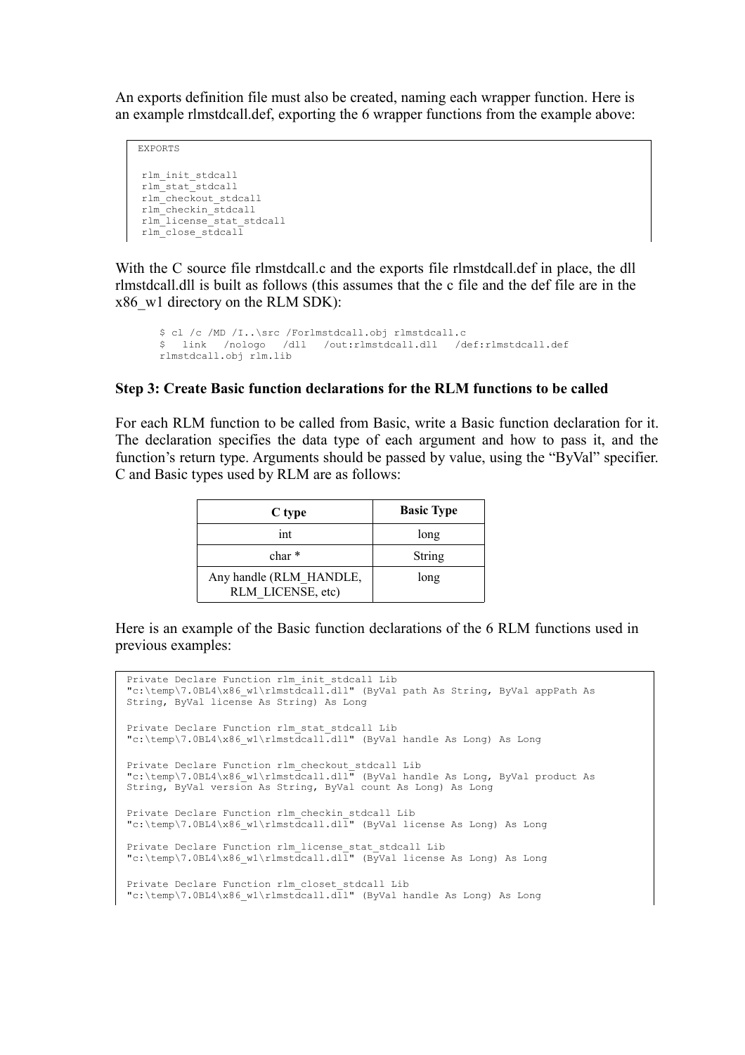An exports definition file must also be created, naming each wrapper function. Here is an example rlmstdcall.def, exporting the 6 wrapper functions from the example above:

EXPORTS rlm\_init\_stdcall rlm\_stat\_stdcall rlm\_checkout\_stdcall rlm\_checkin\_stdcall rlm\_license\_stat\_stdcall rlm\_close\_stdcall

With the C source file rlmstdcall.c and the exports file rlmstdcall.def in place, the dll rlmstdcall.dll is built as follows (this assumes that the c file and the def file are in the x86\_w1 directory on the RLM SDK):

```
$ cl /c /MD /I..\src /Forlmstdcall.obj rlmstdcall.c
$ link /nologo /dll /out:rlmstdcall.dll /def:rlmstdcall.def
rlmstdcall.obj rlm.lib
```
#### **Step 3: Create Basic function declarations for the RLM functions to be called**

For each RLM function to be called from Basic, write a Basic function declaration for it. The declaration specifies the data type of each argument and how to pass it, and the function's return type. Arguments should be passed by value, using the "ByVal" specifier. C and Basic types used by RLM are as follows:

| C type                                       | <b>Basic Type</b> |
|----------------------------------------------|-------------------|
| int                                          | long              |
| $char *$                                     | String            |
| Any handle (RLM HANDLE,<br>RLM LICENSE, etc) | long              |

Here is an example of the Basic function declarations of the 6 RLM functions used in previous examples:

```
Private Declare Function rlm_init_stdcall Lib 
"c:\temp\7.0BL4\x86_w1\rlmstdcall.dll" (ByVal path As String, ByVal appPath As 
String, ByVal license As String) As Long
Private Declare Function rlm_stat_stdcall Lib 
"c:\temp\7.0BL4\x86_w1\rlmstdcall.dll" (ByVal handle As Long) As Long
Private Declare Function rlm_checkout_stdcall Lib 
"c:\temp\7.0BL4\x86_w1\rlmstdcall.dll" (ByVal handle As Long, ByVal product As 
String, ByVal version As String, ByVal count As Long) As Long
Private Declare Function rlm_checkin_stdcall Lib 
"c:\temp\7.0BL4\x86_w1\rlmstdcall.dll" (ByVal license As Long) As Long
Private Declare Function rlm_license_stat_stdcall Lib 
"c:\temp\7.0BL4\x86_w1\rlmstdcall.dll" (ByVal license As Long) As Long
Private Declare Function rlm_closet_stdcall Lib 
"c:\temp\7.0BL4\x86_w1\rlmstdcall.dll" (ByVal handle As Long) As Long
```